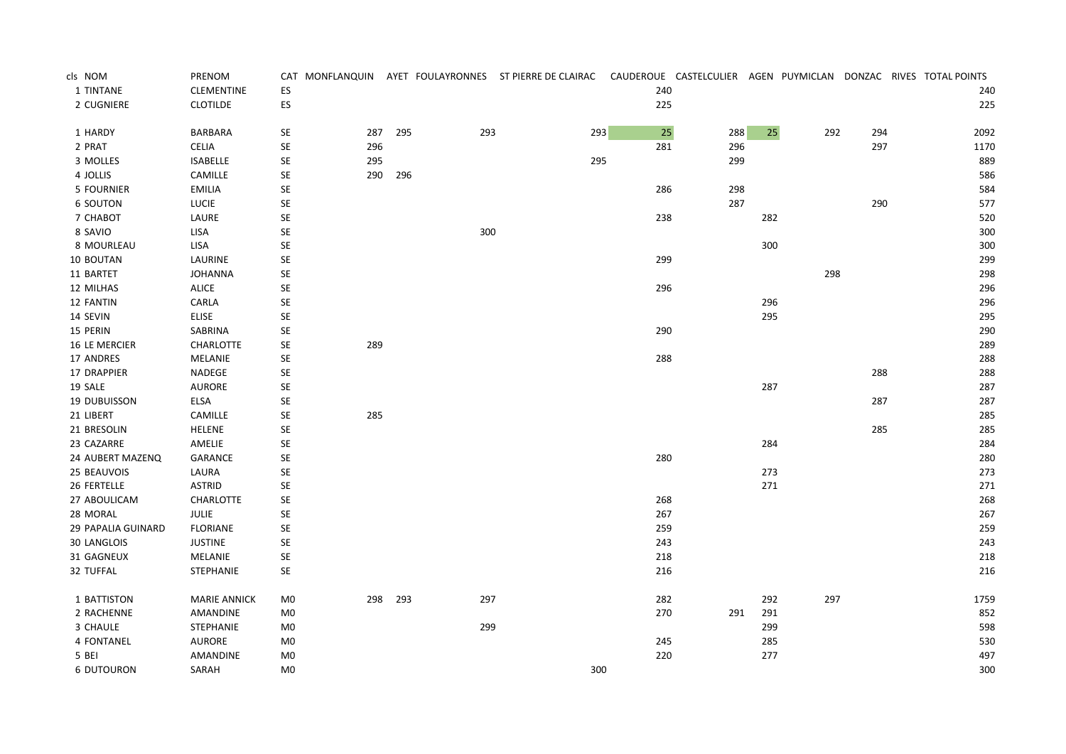| cls NOM              | PRENOM              |                      |     |     |     | CAT MONFLANQUIN AYET FOULAYRONNES ST PIERRE DE CLAIRAC |        | CAUDEROUE CASTELCULIER AGEN PUYMICLAN DONZAC RIVES TOTAL POINTS |     |     |     |      |
|----------------------|---------------------|----------------------|-----|-----|-----|--------------------------------------------------------|--------|-----------------------------------------------------------------|-----|-----|-----|------|
| 1 TINTANE            | <b>CLEMENTINE</b>   | ES                   |     |     |     |                                                        | 240    |                                                                 |     |     |     | 240  |
| 2 CUGNIERE           | <b>CLOTILDE</b>     | ES                   |     |     |     |                                                        | 225    |                                                                 |     |     |     | 225  |
| 1 HARDY              | BARBARA             | <b>SE</b>            | 287 | 295 | 293 | 293                                                    | $25\,$ | 288                                                             | 25  | 292 | 294 | 2092 |
| 2 PRAT               | <b>CELIA</b>        | SE                   | 296 |     |     |                                                        | 281    | 296                                                             |     |     | 297 | 1170 |
| 3 MOLLES             | <b>ISABELLE</b>     | SE                   | 295 |     |     | 295                                                    |        | 299                                                             |     |     |     | 889  |
| 4 JOLLIS             | CAMILLE             | $\mathsf{SE}\xspace$ | 290 | 296 |     |                                                        |        |                                                                 |     |     |     | 586  |
| <b>5 FOURNIER</b>    | EMILIA              | SE                   |     |     |     |                                                        | 286    | 298                                                             |     |     |     | 584  |
| <b>6 SOUTON</b>      | LUCIE               | SE                   |     |     |     |                                                        |        | 287                                                             |     |     | 290 | 577  |
| 7 CHABOT             | LAURE               | SE                   |     |     |     |                                                        | 238    |                                                                 | 282 |     |     | 520  |
| 8 SAVIO              | LISA                | SE                   |     |     | 300 |                                                        |        |                                                                 |     |     |     | 300  |
| 8 MOURLEAU           | LISA                | SE                   |     |     |     |                                                        |        |                                                                 | 300 |     |     | 300  |
| 10 BOUTAN            | LAURINE             | SE                   |     |     |     |                                                        | 299    |                                                                 |     |     |     | 299  |
| 11 BARTET            | <b>JOHANNA</b>      | <b>SE</b>            |     |     |     |                                                        |        |                                                                 |     | 298 |     | 298  |
| 12 MILHAS            | <b>ALICE</b>        | SE                   |     |     |     |                                                        | 296    |                                                                 |     |     |     | 296  |
| 12 FANTIN            | CARLA               | SE                   |     |     |     |                                                        |        |                                                                 | 296 |     |     | 296  |
| 14 SEVIN             | <b>ELISE</b>        | SE                   |     |     |     |                                                        |        |                                                                 | 295 |     |     | 295  |
| 15 PERIN             | SABRINA             | SE                   |     |     |     |                                                        | 290    |                                                                 |     |     |     | 290  |
| <b>16 LE MERCIER</b> | CHARLOTTE           | SE                   | 289 |     |     |                                                        |        |                                                                 |     |     |     | 289  |
| 17 ANDRES            | MELANIE             | SE                   |     |     |     |                                                        | 288    |                                                                 |     |     |     | 288  |
| 17 DRAPPIER          | NADEGE              | $\mathsf{SE}\xspace$ |     |     |     |                                                        |        |                                                                 |     |     | 288 | 288  |
| 19 SALE              | AURORE              | $\mathsf{SE}\xspace$ |     |     |     |                                                        |        |                                                                 | 287 |     |     | 287  |
| <b>19 DUBUISSON</b>  | ELSA                | SE                   |     |     |     |                                                        |        |                                                                 |     |     | 287 | 287  |
| 21 LIBERT            | CAMILLE             | SE                   | 285 |     |     |                                                        |        |                                                                 |     |     |     | 285  |
| 21 BRESOLIN          | <b>HELENE</b>       | $\mathsf{SE}\xspace$ |     |     |     |                                                        |        |                                                                 |     |     | 285 | 285  |
| 23 CAZARRE           | AMELIE              | SE                   |     |     |     |                                                        |        |                                                                 | 284 |     |     | 284  |
| 24 AUBERT MAZENQ     | GARANCE             | $\mathsf{SE}\xspace$ |     |     |     |                                                        | 280    |                                                                 |     |     |     | 280  |
| 25 BEAUVOIS          | LAURA               | SE                   |     |     |     |                                                        |        |                                                                 | 273 |     |     | 273  |
| 26 FERTELLE          | <b>ASTRID</b>       | SE                   |     |     |     |                                                        |        |                                                                 | 271 |     |     | 271  |
| 27 ABOULICAM         | CHARLOTTE           | SE                   |     |     |     |                                                        | 268    |                                                                 |     |     |     | 268  |
| 28 MORAL             | JULIE               | $\mathsf{SE}\xspace$ |     |     |     |                                                        | 267    |                                                                 |     |     |     | 267  |
| 29 PAPALIA GUINARD   | <b>FLORIANE</b>     | $\mathsf{SE}\xspace$ |     |     |     |                                                        | 259    |                                                                 |     |     |     | 259  |
| <b>30 LANGLOIS</b>   | <b>JUSTINE</b>      | SE                   |     |     |     |                                                        | 243    |                                                                 |     |     |     | 243  |
| 31 GAGNEUX           | MELANIE             | $\mathsf{SE}\xspace$ |     |     |     |                                                        | 218    |                                                                 |     |     |     | 218  |
| 32 TUFFAL            | STEPHANIE           | SE                   |     |     |     |                                                        | 216    |                                                                 |     |     |     | 216  |
| 1 BATTISTON          | <b>MARIE ANNICK</b> | M <sub>0</sub>       | 298 | 293 | 297 |                                                        | 282    |                                                                 | 292 | 297 |     | 1759 |
| 2 RACHENNE           | AMANDINE            | M <sub>0</sub>       |     |     |     |                                                        | 270    | 291                                                             | 291 |     |     | 852  |
| 3 CHAULE             | STEPHANIE           | M <sub>0</sub>       |     |     | 299 |                                                        |        |                                                                 | 299 |     |     | 598  |
| 4 FONTANEL           | AURORE              | M <sub>0</sub>       |     |     |     |                                                        | 245    |                                                                 | 285 |     |     | 530  |
| 5 BEI                | AMANDINE            | M <sub>0</sub>       |     |     |     |                                                        | 220    |                                                                 | 277 |     |     | 497  |
| <b>6 DUTOURON</b>    | SARAH               | M <sub>0</sub>       |     |     |     | 300                                                    |        |                                                                 |     |     |     | 300  |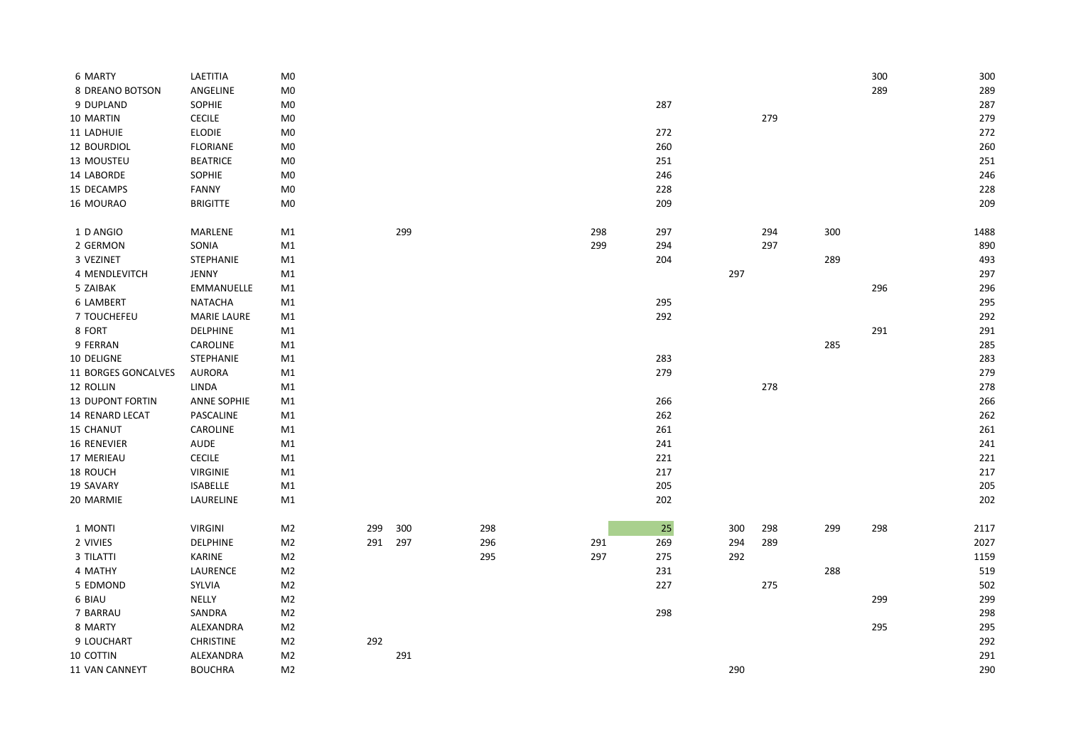| 6 MARTY                 | LAETITIA           | M <sub>0</sub> |     |     |     |     |     |     |     |     | 300 | 300  |
|-------------------------|--------------------|----------------|-----|-----|-----|-----|-----|-----|-----|-----|-----|------|
| 8 DREANO BOTSON         | ANGELINE           | $_{\text{M0}}$ |     |     |     |     |     |     |     |     | 289 | 289  |
| 9 DUPLAND               | <b>SOPHIE</b>      | M <sub>0</sub> |     |     |     |     | 287 |     |     |     |     | 287  |
| 10 MARTIN               | <b>CECILE</b>      | M <sub>0</sub> |     |     |     |     |     |     | 279 |     |     | 279  |
| 11 LADHUIE              | <b>ELODIE</b>      | M0             |     |     |     |     | 272 |     |     |     |     | 272  |
| 12 BOURDIOL             | <b>FLORIANE</b>    | M <sub>0</sub> |     |     |     |     | 260 |     |     |     |     | 260  |
| 13 MOUSTEU              | <b>BEATRICE</b>    | M <sub>0</sub> |     |     |     |     | 251 |     |     |     |     | 251  |
| 14 LABORDE              | <b>SOPHIE</b>      | M <sub>0</sub> |     |     |     |     | 246 |     |     |     |     | 246  |
| 15 DECAMPS              | FANNY              | M <sub>0</sub> |     |     |     |     | 228 |     |     |     |     | 228  |
| 16 MOURAO               | <b>BRIGITTE</b>    | M <sub>0</sub> |     |     |     |     | 209 |     |     |     |     | 209  |
| 1 D ANGIO               | MARLENE            | M1             |     | 299 |     | 298 | 297 |     | 294 | 300 |     | 1488 |
| 2 GERMON                | SONIA              | M1             |     |     |     | 299 | 294 |     | 297 |     |     | 890  |
| 3 VEZINET               | <b>STEPHANIE</b>   | M1             |     |     |     |     | 204 |     |     | 289 |     | 493  |
| 4 MENDLEVITCH           | JENNY              | M1             |     |     |     |     |     | 297 |     |     |     | 297  |
| 5 ZAIBAK                | <b>EMMANUELLE</b>  | M1             |     |     |     |     |     |     |     |     | 296 | 296  |
| <b>6 LAMBERT</b>        | NATACHA            | M1             |     |     |     |     | 295 |     |     |     |     | 295  |
| 7 TOUCHEFEU             | <b>MARIE LAURE</b> | M1             |     |     |     |     | 292 |     |     |     |     | 292  |
| 8 FORT                  | <b>DELPHINE</b>    | M1             |     |     |     |     |     |     |     |     | 291 | 291  |
| 9 FERRAN                | CAROLINE           | M1             |     |     |     |     |     |     |     | 285 |     | 285  |
| 10 DELIGNE              | STEPHANIE          | M1             |     |     |     |     | 283 |     |     |     |     | 283  |
| 11 BORGES GONCALVES     | <b>AURORA</b>      | M1             |     |     |     |     | 279 |     |     |     |     | 279  |
| 12 ROLLIN               | LINDA              | M1             |     |     |     |     |     |     | 278 |     |     | 278  |
| <b>13 DUPONT FORTIN</b> | <b>ANNE SOPHIE</b> | M1             |     |     |     |     | 266 |     |     |     |     | 266  |
| 14 RENARD LECAT         | PASCALINE          | M1             |     |     |     |     | 262 |     |     |     |     | 262  |
| <b>15 CHANUT</b>        | CAROLINE           | M1             |     |     |     |     | 261 |     |     |     |     | 261  |
| <b>16 RENEVIER</b>      | <b>AUDE</b>        | M1             |     |     |     |     | 241 |     |     |     |     | 241  |
| 17 MERIEAU              | <b>CECILE</b>      | M1             |     |     |     |     | 221 |     |     |     |     | 221  |
| 18 ROUCH                | <b>VIRGINIE</b>    | M1             |     |     |     |     | 217 |     |     |     |     | 217  |
| 19 SAVARY               | ISABELLE           | M1             |     |     |     |     | 205 |     |     |     |     | 205  |
| 20 MARMIE               | LAURELINE          | M1             |     |     |     |     | 202 |     |     |     |     | 202  |
| 1 MONTI                 | <b>VIRGINI</b>     | M <sub>2</sub> | 299 | 300 | 298 |     | 25  | 300 | 298 | 299 | 298 | 2117 |
| 2 VIVIES                | <b>DELPHINE</b>    | M <sub>2</sub> | 291 | 297 | 296 | 291 | 269 | 294 | 289 |     |     | 2027 |
| 3 TILATTI               | KARINE             | M <sub>2</sub> |     |     | 295 | 297 | 275 | 292 |     |     |     | 1159 |
| 4 MATHY                 | LAURENCE           | M <sub>2</sub> |     |     |     |     | 231 |     |     | 288 |     | 519  |
| 5 EDMOND                | <b>SYLVIA</b>      | M <sub>2</sub> |     |     |     |     | 227 |     | 275 |     |     | 502  |
| 6 BIAU                  | NELLY              | M <sub>2</sub> |     |     |     |     |     |     |     |     | 299 | 299  |
| 7 BARRAU                | SANDRA             | M <sub>2</sub> |     |     |     |     | 298 |     |     |     |     | 298  |
| 8 MARTY                 | ALEXANDRA          | M <sub>2</sub> |     |     |     |     |     |     |     |     | 295 | 295  |
| 9 LOUCHART              | <b>CHRISTINE</b>   | M <sub>2</sub> | 292 |     |     |     |     |     |     |     |     | 292  |
| 10 COTTIN               | ALEXANDRA          | M <sub>2</sub> |     | 291 |     |     |     |     |     |     |     | 291  |
| 11 VAN CANNEYT          | <b>BOUCHRA</b>     | M <sub>2</sub> |     |     |     |     |     | 290 |     |     |     | 290  |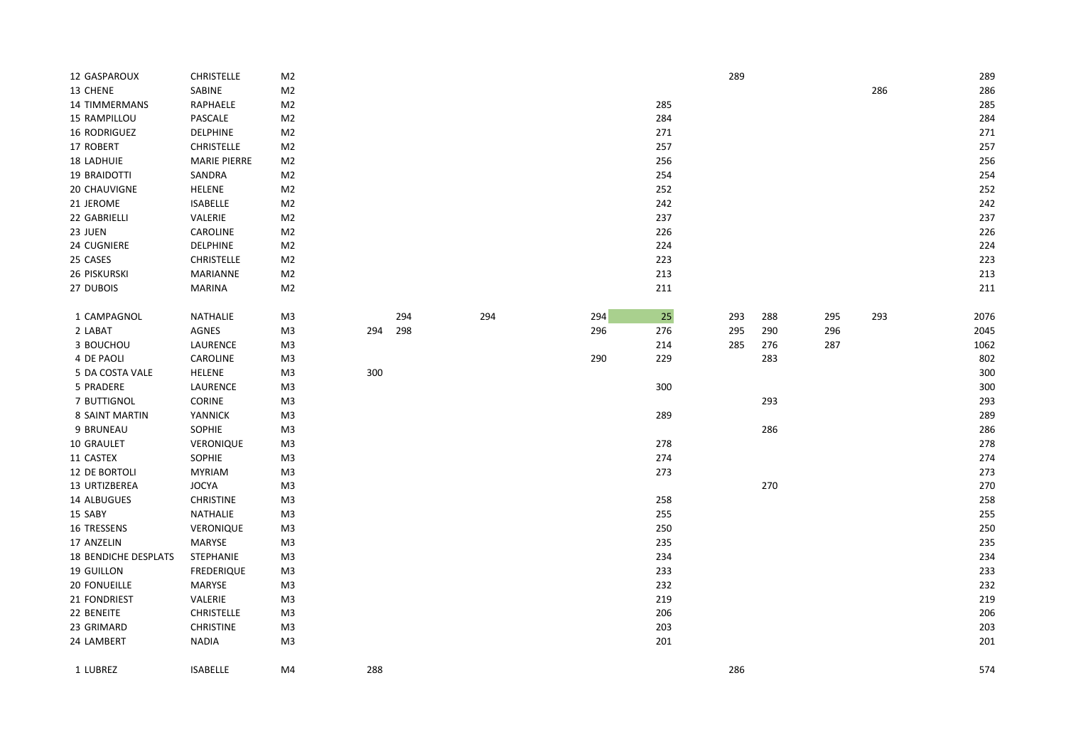| 12 GASPAROUX                | <b>CHRISTELLE</b>   | M <sub>2</sub> |     |     |     |     |        | 289 |     |     |     | 289  |
|-----------------------------|---------------------|----------------|-----|-----|-----|-----|--------|-----|-----|-----|-----|------|
| 13 CHENE                    | SABINE              | M <sub>2</sub> |     |     |     |     |        |     |     |     | 286 | 286  |
| <b>14 TIMMERMANS</b>        | RAPHAELE            | M <sub>2</sub> |     |     |     |     | 285    |     |     |     |     | 285  |
| 15 RAMPILLOU                | PASCALE             | M <sub>2</sub> |     |     |     |     | 284    |     |     |     |     | 284  |
| 16 RODRIGUEZ                | <b>DELPHINE</b>     | M <sub>2</sub> |     |     |     |     | 271    |     |     |     |     | 271  |
| 17 ROBERT                   | <b>CHRISTELLE</b>   | M <sub>2</sub> |     |     |     |     | 257    |     |     |     |     | 257  |
| <b>18 LADHUIE</b>           | <b>MARIE PIERRE</b> | M <sub>2</sub> |     |     |     |     | 256    |     |     |     |     | 256  |
| 19 BRAIDOTTI                | SANDRA              | M <sub>2</sub> |     |     |     |     | 254    |     |     |     |     | 254  |
| 20 CHAUVIGNE                | HELENE              | M <sub>2</sub> |     |     |     |     | 252    |     |     |     |     | 252  |
| 21 JEROME                   | <b>ISABELLE</b>     | M <sub>2</sub> |     |     |     |     | 242    |     |     |     |     | 242  |
| 22 GABRIELLI                | VALERIE             | M <sub>2</sub> |     |     |     |     | 237    |     |     |     |     | 237  |
| 23 JUEN                     | CAROLINE            | M <sub>2</sub> |     |     |     |     | 226    |     |     |     |     | 226  |
| 24 CUGNIERE                 | DELPHINE            | M <sub>2</sub> |     |     |     |     | 224    |     |     |     |     | 224  |
| 25 CASES                    | <b>CHRISTELLE</b>   | M <sub>2</sub> |     |     |     |     | 223    |     |     |     |     | 223  |
| 26 PISKURSKI                | MARIANNE            | M <sub>2</sub> |     |     |     |     | 213    |     |     |     |     | 213  |
| 27 DUBOIS                   | <b>MARINA</b>       | M <sub>2</sub> |     |     |     |     | 211    |     |     |     |     | 211  |
| 1 CAMPAGNOL                 | NATHALIE            | M3             |     | 294 | 294 | 294 | $25\,$ | 293 | 288 | 295 | 293 | 2076 |
| 2 LABAT                     | AGNES               | M <sub>3</sub> | 294 | 298 |     | 296 | 276    | 295 | 290 | 296 |     | 2045 |
| 3 BOUCHOU                   | LAURENCE            | M3             |     |     |     |     | 214    | 285 | 276 | 287 |     | 1062 |
| 4 DE PAOLI                  | CAROLINE            | M3             |     |     |     | 290 | 229    |     | 283 |     |     | 802  |
| 5 DA COSTA VALE             | <b>HELENE</b>       | M <sub>3</sub> | 300 |     |     |     |        |     |     |     |     | 300  |
| 5 PRADERE                   | LAURENCE            | M3             |     |     |     |     | 300    |     |     |     |     | 300  |
| 7 BUTTIGNOL                 | CORINE              | M <sub>3</sub> |     |     |     |     |        |     | 293 |     |     | 293  |
| 8 SAINT MARTIN              | YANNICK             | M3             |     |     |     |     | 289    |     |     |     |     | 289  |
| 9 BRUNEAU                   | <b>SOPHIE</b>       | M3             |     |     |     |     |        |     | 286 |     |     | 286  |
| 10 GRAULET                  | VERONIQUE           | M <sub>3</sub> |     |     |     |     | 278    |     |     |     |     | 278  |
| 11 CASTEX                   | <b>SOPHIE</b>       | M3             |     |     |     |     | 274    |     |     |     |     | 274  |
| 12 DE BORTOLI               | <b>MYRIAM</b>       | M <sub>3</sub> |     |     |     |     | 273    |     |     |     |     | 273  |
| 13 URTIZBEREA               | <b>JOCYA</b>        | M <sub>3</sub> |     |     |     |     |        |     | 270 |     |     | 270  |
| 14 ALBUGUES                 | <b>CHRISTINE</b>    | M3             |     |     |     |     | 258    |     |     |     |     | 258  |
| 15 SABY                     | NATHALIE            | M <sub>3</sub> |     |     |     |     | 255    |     |     |     |     | 255  |
| 16 TRESSENS                 | VERONIQUE           | M <sub>3</sub> |     |     |     |     | 250    |     |     |     |     | 250  |
| 17 ANZELIN                  | MARYSE              | M3             |     |     |     |     | 235    |     |     |     |     | 235  |
| <b>18 BENDICHE DESPLATS</b> | STEPHANIE           | M <sub>3</sub> |     |     |     |     | 234    |     |     |     |     | 234  |
| 19 GUILLON                  | <b>FREDERIQUE</b>   | M3             |     |     |     |     | 233    |     |     |     |     | 233  |
| <b>20 FONUEILLE</b>         | MARYSE              | M3             |     |     |     |     | 232    |     |     |     |     | 232  |
| 21 FONDRIEST                | VALERIE             | M <sub>3</sub> |     |     |     |     | 219    |     |     |     |     | 219  |
| 22 BENEITE                  | <b>CHRISTELLE</b>   | M <sub>3</sub> |     |     |     |     | 206    |     |     |     |     | 206  |
| 23 GRIMARD                  | <b>CHRISTINE</b>    | M3             |     |     |     |     | 203    |     |     |     |     | 203  |
| 24 LAMBERT                  | <b>NADIA</b>        | M <sub>3</sub> |     |     |     |     | 201    |     |     |     |     | 201  |
| 1 LUBREZ                    | <b>ISABELLE</b>     | M4             | 288 |     |     |     |        | 286 |     |     |     | 574  |